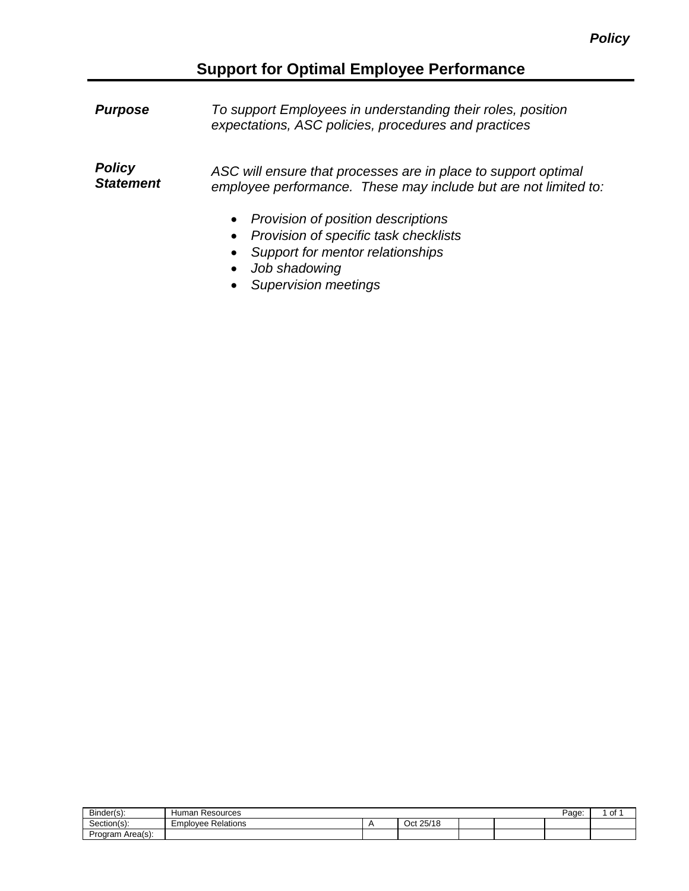# **Support for Optimal Employee Performance**

| <b>Purpose</b>                    | To support Employees in understanding their roles, position<br>expectations, ASC policies, procedures and practices                  |
|-----------------------------------|--------------------------------------------------------------------------------------------------------------------------------------|
| <b>Policy</b><br><b>Statement</b> | ASC will ensure that processes are in place to support optimal<br>employee performance. These may include but are not limited to:    |
|                                   | • Provision of position descriptions<br>• Provision of specific task checklists<br>Support for mentor relationships<br>Job shadowing |

• *Supervision meetings*

| Binder(s):          | luman<br>Resources     |  |              |  |  | Page: | οt |
|---------------------|------------------------|--|--------------|--|--|-------|----|
| Section(s):         | mplovee Relations<br>⊷ |  | 25/18<br>Oct |  |  |       |    |
| Area(s):<br>Program |                        |  |              |  |  |       |    |